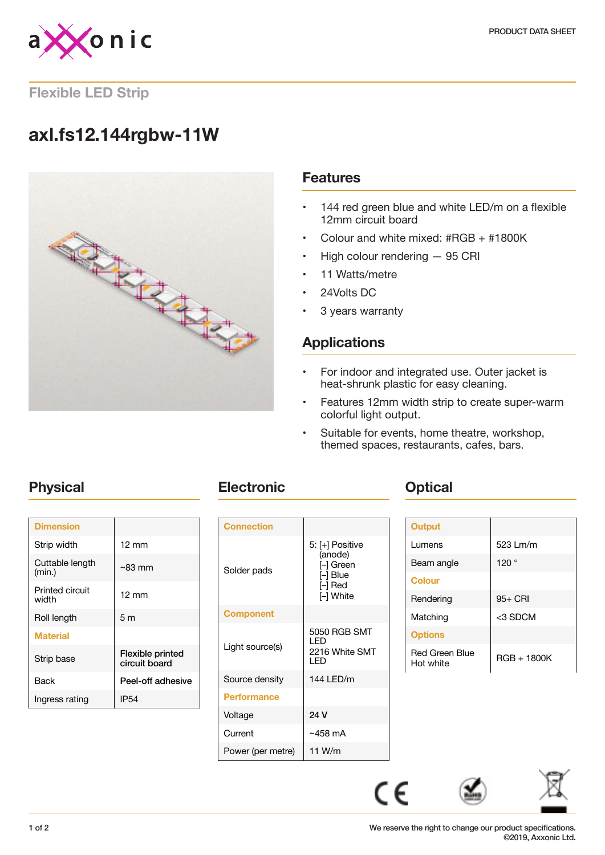

### **Flexible LED Strip**

# **axl.fs12.144rgbw-11W**



### **Features**

- 144 red green blue and white LED/m on a flexible 12mm circuit board
- Colour and white mixed: #RGB + #1800K
- High colour rendering 95 CRI
- 11 Watts/metre
- 24Volts DC
- 3 years warranty

## **Applications**

- For indoor and integrated use. Outer jacket is heat-shrunk plastic for easy cleaning.
- Features 12mm width strip to create super-warm colorful light output.
- Suitable for events, home theatre, workshop, themed spaces, restaurants, cafes, bars.

| <b>Dimension</b>          |                                   |
|---------------------------|-----------------------------------|
| Strip width               | $12 \text{ mm}$                   |
| Cuttable length<br>(min.) | $~83 \text{ mm}$                  |
| Printed circuit<br>width  | $12 \text{ mm}$                   |
| Roll length               | 5m                                |
| <b>Material</b>           |                                   |
| Strip base                | Flexible printed<br>circuit board |
| Back                      | Peel-off adhesive                 |
| Ingress rating            | IP54                              |

## **Physical Electronic Optical**

| <b>Connection</b>  |                                                                               |
|--------------------|-------------------------------------------------------------------------------|
| Solder pads        | 5: [+] Positive<br>(anode)<br>[–] Green<br>I–l Blue<br>$\Box$ Red<br>⊩l White |
| <b>Component</b>   |                                                                               |
| Light source(s)    | 5050 RGB SMT<br>I FD<br>2216 White SMT<br>I FD                                |
| Source density     | 144 LED/m                                                                     |
| <b>Performance</b> |                                                                               |
| Voltage            | 24 V                                                                          |
| Current            | $~1$ ~458 mA                                                                  |
| Power (per metre)  | 11 W/m                                                                        |

| Output                             |               |
|------------------------------------|---------------|
| Lumens                             | 523 Lm/m      |
| Beam angle                         | 120°          |
| <b>Colour</b>                      |               |
| Rendering                          | 95+ CRI       |
| Matching                           | <3 SDCM       |
| <b>Options</b>                     |               |
| <b>Red Green Blue</b><br>Hot white | $RGB + 1800K$ |

 $\epsilon$